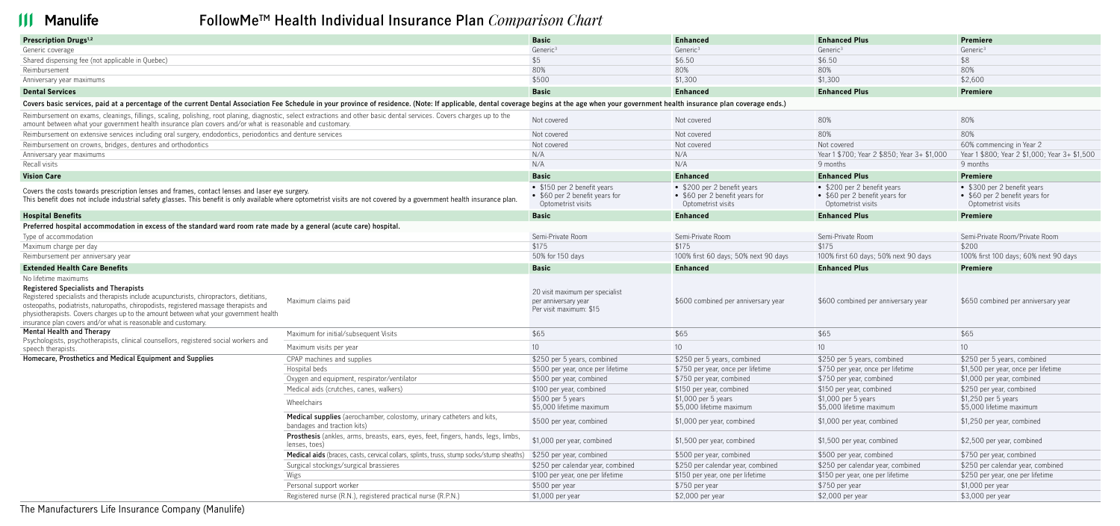## **III** Manulife

### **FollowMeTM Health Individual Insurance Plan** *Comparison Chart*

| Prescription Drugs <sup>1,2</sup>                                                                                                                                                                                                                                                                                                                                                                                    |                                                                                                      | <b>Basic</b>                                                                        | <b>Enhanced</b>                                                                     | <b>Enhanced Plus</b>                                                                | <b>Premiere</b>                                                                     |
|----------------------------------------------------------------------------------------------------------------------------------------------------------------------------------------------------------------------------------------------------------------------------------------------------------------------------------------------------------------------------------------------------------------------|------------------------------------------------------------------------------------------------------|-------------------------------------------------------------------------------------|-------------------------------------------------------------------------------------|-------------------------------------------------------------------------------------|-------------------------------------------------------------------------------------|
| Generic coverage                                                                                                                                                                                                                                                                                                                                                                                                     |                                                                                                      | Generic <sup>3</sup>                                                                | Generic <sup>3</sup>                                                                | Generic <sup>3</sup>                                                                | Generic <sup>3</sup>                                                                |
| Shared dispensing fee (not applicable in Quebec)                                                                                                                                                                                                                                                                                                                                                                     |                                                                                                      | \$5                                                                                 | \$6.50                                                                              | \$6.50                                                                              | \$8                                                                                 |
| Reimbursement                                                                                                                                                                                                                                                                                                                                                                                                        |                                                                                                      | 80%                                                                                 | 80%                                                                                 | 80%                                                                                 | 80%                                                                                 |
| Anniversary year maximums                                                                                                                                                                                                                                                                                                                                                                                            |                                                                                                      | \$500                                                                               | \$1,300                                                                             | \$1,300                                                                             | \$2,600                                                                             |
| <b>Dental Services</b>                                                                                                                                                                                                                                                                                                                                                                                               |                                                                                                      | <b>Basic</b>                                                                        | <b>Enhanced</b>                                                                     | <b>Enhanced Plus</b>                                                                | <b>Premiere</b>                                                                     |
| Covers basic services, paid at a percentage of the current Dental Association Fee Schedule in your province of residence. (Note: If applicable, dental coverage begins at the age when your government health insurance plan c                                                                                                                                                                                       |                                                                                                      |                                                                                     |                                                                                     |                                                                                     |                                                                                     |
| Reimbursement on exams, cleanings, fillings, scaling, polishing, root planing, diagnostic, select extractions and other basic dental services. Covers charges up to the<br>amount between what your government health insurance plan covers and/or what is reasonable and customary.                                                                                                                                 |                                                                                                      | Not covered                                                                         | Not covered                                                                         | 80%                                                                                 | 80%                                                                                 |
| Reimbursement on extensive services including oral surgery, endodontics, periodontics and denture services                                                                                                                                                                                                                                                                                                           |                                                                                                      | Not covered                                                                         | Not covered                                                                         | 80%                                                                                 | 80%                                                                                 |
| Reimbursement on crowns, bridges, dentures and orthodontics                                                                                                                                                                                                                                                                                                                                                          |                                                                                                      | Not covered                                                                         | Not covered                                                                         | Not covered                                                                         | 60% commencing in Year 2                                                            |
| Anniversary year maximums                                                                                                                                                                                                                                                                                                                                                                                            |                                                                                                      | N/A                                                                                 | N/A                                                                                 | Year 1 \$700; Year 2 \$850; Year 3+ \$1,000                                         | Year 1 \$800; Year 2 \$1,000; Year 3+ \$1,500                                       |
| Recall visits                                                                                                                                                                                                                                                                                                                                                                                                        |                                                                                                      | N/A                                                                                 | N/A                                                                                 | 9 months                                                                            | 9 months                                                                            |
| <b>Vision Care</b>                                                                                                                                                                                                                                                                                                                                                                                                   |                                                                                                      | <b>Basic</b>                                                                        | <b>Enhanced</b>                                                                     | <b>Enhanced Plus</b>                                                                | Premiere                                                                            |
| Covers the costs towards prescription lenses and frames, contact lenses and laser eye surgery.<br>This benefit does not include industrial safety glasses. This benefit is only available where optometrist visits are not covered by a government health insurance plan.                                                                                                                                            |                                                                                                      | • \$150 per 2 benefit years<br>• \$60 per 2 benefit years for<br>Optometrist visits | • \$200 per 2 benefit years<br>• \$60 per 2 benefit years for<br>Optometrist visits | • \$200 per 2 benefit years<br>• \$60 per 2 benefit years for<br>Optometrist visits | • \$300 per 2 benefit years<br>• \$60 per 2 benefit years for<br>Optometrist visits |
| <b>Hospital Benefits</b>                                                                                                                                                                                                                                                                                                                                                                                             |                                                                                                      | <b>Basic</b>                                                                        | <b>Enhanced</b>                                                                     | <b>Enhanced Plus</b>                                                                | <b>Premiere</b>                                                                     |
| Preferred hospital accommodation in excess of the standard ward room rate made by a general (acute care) hospital.                                                                                                                                                                                                                                                                                                   |                                                                                                      |                                                                                     |                                                                                     |                                                                                     |                                                                                     |
| Type of accommodation                                                                                                                                                                                                                                                                                                                                                                                                |                                                                                                      | Semi-Private Room                                                                   | Semi-Private Room                                                                   | Semi-Private Room                                                                   | Semi-Private Room/Private Room                                                      |
| Maximum charge per day                                                                                                                                                                                                                                                                                                                                                                                               |                                                                                                      | \$175                                                                               | \$175                                                                               | \$175                                                                               | \$200                                                                               |
| Reimbursement per anniversary year                                                                                                                                                                                                                                                                                                                                                                                   |                                                                                                      | 50% for 150 days                                                                    | 100% first 60 days; 50% next 90 days                                                | 100% first 60 days; 50% next 90 days                                                | 100% first 100 days; 60% next 90 days                                               |
| <b>Extended Health Care Benefits</b>                                                                                                                                                                                                                                                                                                                                                                                 |                                                                                                      | <b>Basic</b>                                                                        | <b>Enhanced</b>                                                                     | <b>Enhanced Plus</b>                                                                | <b>Premiere</b>                                                                     |
| No lifetime maximums<br><b>Registered Specialists and Therapists</b><br>Registered specialists and therapists include acupuncturists, chiropractors, dietitians,<br>osteopaths, podiatrists, naturopaths, chiropodists, registered massage therapists and<br>physiotherapists. Covers charges up to the amount between what your government health<br>insurance plan covers and/or what is reasonable and customary. | Maximum claims paid                                                                                  | 20 visit maximum per specialist<br>per anniversary year<br>Per visit maximum: \$15  | \$600 combined per anniversary year                                                 | \$600 combined per anniversary year                                                 | \$650 combined per anniversary year                                                 |
| <b>Mental Health and Therapy</b><br>Psychologists, psychotherapists, clinical counsellors, registered social workers and<br>speech therapists.                                                                                                                                                                                                                                                                       | Maximum for initial/subsequent Visits                                                                | \$65                                                                                | \$65                                                                                | \$65                                                                                | \$65                                                                                |
|                                                                                                                                                                                                                                                                                                                                                                                                                      | Maximum visits per year                                                                              | 10                                                                                  | 10                                                                                  | 10                                                                                  | 10                                                                                  |
| Homecare, Prosthetics and Medical Equipment and Supplies                                                                                                                                                                                                                                                                                                                                                             | CPAP machines and supplies                                                                           | \$250 per 5 years, combined                                                         | \$250 per 5 years, combined                                                         | \$250 per 5 years, combined                                                         | \$250 per 5 years, combined                                                         |
|                                                                                                                                                                                                                                                                                                                                                                                                                      | Hospital beds                                                                                        | \$500 per year, once per lifetime                                                   | \$750 per year, once per lifetime                                                   | \$750 per year, once per lifetime                                                   | \$1,500 per year, once per lifetime                                                 |
|                                                                                                                                                                                                                                                                                                                                                                                                                      |                                                                                                      |                                                                                     |                                                                                     |                                                                                     |                                                                                     |
|                                                                                                                                                                                                                                                                                                                                                                                                                      | Oxygen and equipment, respirator/ventilator                                                          | \$500 per year, combined                                                            | \$750 per year, combined                                                            | \$750 per year, combined                                                            | \$1,000 per year, combined                                                          |
|                                                                                                                                                                                                                                                                                                                                                                                                                      | Medical aids (crutches, canes, walkers)                                                              | \$100 per year, combined                                                            | \$150 per year, combined                                                            | \$150 per year, combined                                                            | \$250 per year, combined                                                            |
|                                                                                                                                                                                                                                                                                                                                                                                                                      |                                                                                                      | \$500 per 5 years                                                                   | \$1,000 per 5 years                                                                 | \$1,000 per 5 years                                                                 | \$1,250 per 5 years                                                                 |
|                                                                                                                                                                                                                                                                                                                                                                                                                      | Wheelchairs                                                                                          | \$5,000 lifetime maximum                                                            | \$5,000 lifetime maximum                                                            | \$5,000 lifetime maximum                                                            | \$5,000 lifetime maximum                                                            |
|                                                                                                                                                                                                                                                                                                                                                                                                                      | Medical supplies (aerochamber, colostomy, urinary catheters and kits,<br>bandages and traction kits) | \$500 per year, combined                                                            | \$1,000 per year, combined                                                          | \$1,000 per year, combined                                                          | \$1,250 per year, combined                                                          |
|                                                                                                                                                                                                                                                                                                                                                                                                                      | Prosthesis (ankles, arms, breasts, ears, eyes, feet, fingers, hands, legs, limbs,<br>lenses, toes)   | \$1,000 per year, combined                                                          | \$1,500 per year, combined                                                          | \$1,500 per year, combined                                                          | \$2,500 per year, combined                                                          |
|                                                                                                                                                                                                                                                                                                                                                                                                                      | Medical aids (braces, casts, cervical collars, splints, truss, stump socks/stump sheaths)            | \$250 per year, combined                                                            | \$500 per year, combined                                                            | \$500 per year, combined                                                            | \$750 per year, combined                                                            |
|                                                                                                                                                                                                                                                                                                                                                                                                                      | Surgical stockings/surgical brassieres                                                               | \$250 per calendar year, combined                                                   | \$250 per calendar year, combined                                                   | \$250 per calendar year, combined                                                   | \$250 per calendar year, combined                                                   |
|                                                                                                                                                                                                                                                                                                                                                                                                                      | Wigs                                                                                                 | \$100 per year, one per lifetime                                                    | \$150 per year, one per lifetime                                                    | \$150 per year, one per lifetime                                                    | \$250 per year, one per lifetime                                                    |
|                                                                                                                                                                                                                                                                                                                                                                                                                      | Personal support worker<br>Registered nurse (R.N.), registered practical nurse (R.P.N.)              | \$500 per year                                                                      | \$750 per year                                                                      | \$750 per year                                                                      | \$1,000 per year                                                                    |